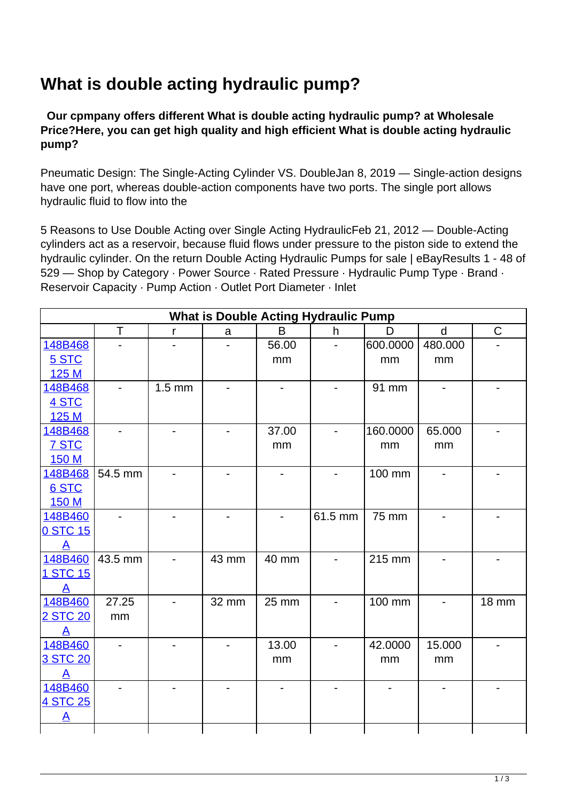## **What is double acting hydraulic pump?**

 **Our cpmpany offers different What is double acting hydraulic pump? at Wholesale Price?Here, you can get high quality and high efficient What is double acting hydraulic pump?**

Pneumatic Design: The Single-Acting Cylinder VS. DoubleJan 8, 2019 — Single-action designs have one port, whereas double-action components have two ports. The single port allows hydraulic fluid to flow into the

5 Reasons to Use Double Acting over Single Acting HydraulicFeb 21, 2012 — Double-Acting cylinders act as a reservoir, because fluid flows under pressure to the piston side to extend the hydraulic cylinder. On the return Double Acting Hydraulic Pumps for sale | eBayResults 1 - 48 of 529 — Shop by Category · Power Source · Rated Pressure · Hydraulic Pump Type · Brand · Reservoir Capacity · Pump Action · Outlet Port Diameter · Inlet

| <b>What is Double Acting Hydraulic Pump</b> |                          |                |       |                              |                          |          |              |                          |
|---------------------------------------------|--------------------------|----------------|-------|------------------------------|--------------------------|----------|--------------|--------------------------|
|                                             | T                        | $\mathsf{r}$   | a     | B                            | h                        | D        | $\mathsf{d}$ | $\mathsf C$              |
| 148B468                                     |                          |                |       | 56.00                        |                          | 600.0000 | 480.000      |                          |
| 5 STC                                       |                          |                |       | mm                           |                          | mm       | mm           |                          |
| 125 M                                       |                          |                |       |                              |                          |          |              |                          |
| 148B468                                     | $\overline{\phantom{a}}$ | $1.5$ mm       |       | $\qquad \qquad \blacksquare$ |                          | 91 mm    |              |                          |
| 4 STC                                       |                          |                |       |                              |                          |          |              |                          |
| 125 M                                       |                          |                |       |                              |                          |          |              |                          |
| 148B468                                     |                          |                |       | 37.00                        |                          | 160.0000 | 65.000       |                          |
| <b>7 STC</b>                                |                          |                |       | mm                           |                          | mm       | mm           |                          |
| 150 M                                       |                          |                |       |                              |                          |          |              |                          |
| 148B468                                     | 54.5 mm                  |                |       |                              |                          | 100 mm   |              |                          |
| 6 STC                                       |                          |                |       |                              |                          |          |              |                          |
| 150 M                                       |                          |                |       |                              |                          |          |              |                          |
| 148B460                                     |                          |                |       |                              | 61.5 mm                  | 75 mm    |              |                          |
| 0 STC 15                                    |                          |                |       |                              |                          |          |              |                          |
| $\mathbf{A}$                                |                          |                |       |                              |                          |          |              |                          |
| 148B460                                     | 43.5 mm                  | $\blacksquare$ | 43 mm | 40 mm                        | $\overline{\phantom{a}}$ | 215 mm   |              | $\overline{\phantom{0}}$ |
| 1 STC 15                                    |                          |                |       |                              |                          |          |              |                          |
| $\mathsf{A}$                                |                          |                |       |                              |                          |          |              |                          |
| 148B460                                     | 27.25                    |                | 32 mm | 25 mm                        |                          | 100 mm   |              | <b>18 mm</b>             |
| 2 STC 20                                    | mm                       |                |       |                              |                          |          |              |                          |
| $\mathsf{A}$                                |                          |                |       |                              |                          |          |              |                          |
| 148B460                                     | $\overline{a}$           |                |       | 13.00                        | $\overline{\phantom{0}}$ | 42.0000  | 15.000       |                          |
| 3 STC 20                                    |                          |                |       | mm                           |                          | mm       | mm           |                          |
| A                                           |                          |                |       |                              |                          |          |              |                          |
| 148B460                                     |                          |                |       |                              |                          |          |              |                          |
| 4 STC 25                                    |                          |                |       |                              |                          |          |              |                          |
| <u>A</u>                                    |                          |                |       |                              |                          |          |              |                          |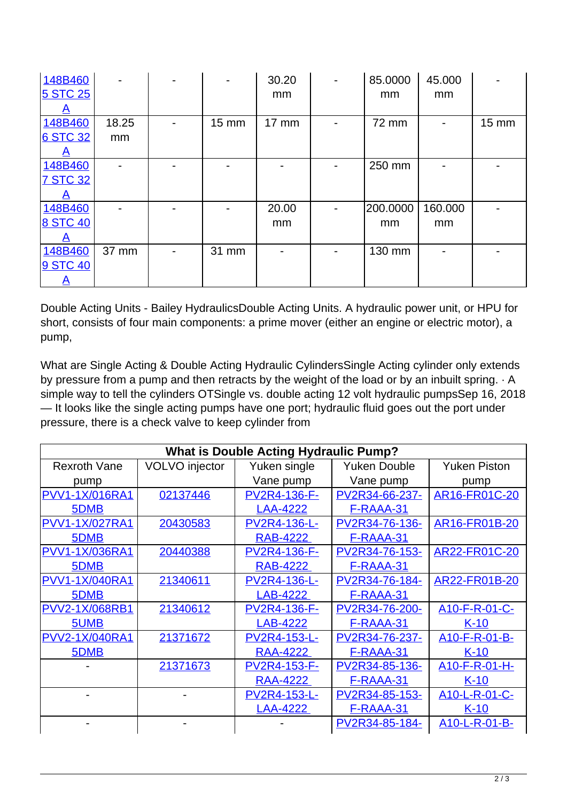| 148B460         |       |       | 30.20 | 85.0000  | 45.000  |       |
|-----------------|-------|-------|-------|----------|---------|-------|
| <b>5 STC 25</b> |       |       | mm    | mm       | mm      |       |
|                 |       |       |       |          |         |       |
| 148B460         | 18.25 | 15 mm | 17 mm | 72 mm    |         | 15 mm |
| 6 STC 32        | mm    |       |       |          |         |       |
|                 |       |       |       |          |         |       |
| 148B460         |       |       |       | 250 mm   |         |       |
| <b>7 STC 32</b> |       |       |       |          |         |       |
|                 |       |       |       |          |         |       |
| 148B460         |       |       | 20.00 | 200.0000 | 160.000 |       |
| <b>8 STC 40</b> |       |       | mm    | mm       | mm      |       |
|                 |       |       |       |          |         |       |
| 148B460         | 37 mm | 31 mm |       | 130 mm   |         |       |
| 9 STC 40        |       |       |       |          |         |       |
| $\mathbf{A}$    |       |       |       |          |         |       |

Double Acting Units - Bailey HydraulicsDouble Acting Units. A hydraulic power unit, or HPU for short, consists of four main components: a prime mover (either an engine or electric motor), a pump,

What are Single Acting & Double Acting Hydraulic CylindersSingle Acting cylinder only extends by pressure from a pump and then retracts by the weight of the load or by an inbuilt spring. · A simple way to tell the cylinders OTSingle vs. double acting 12 volt hydraulic pumpsSep 16, 2018 — It looks like the single acting pumps have one port; hydraulic fluid goes out the port under pressure, there is a check valve to keep cylinder from

| <b>What is Double Acting Hydraulic Pump?</b> |                |                     |                     |                     |  |  |  |
|----------------------------------------------|----------------|---------------------|---------------------|---------------------|--|--|--|
| <b>Rexroth Vane</b>                          | VOLVO injector | Yuken single        | <b>Yuken Double</b> | <b>Yuken Piston</b> |  |  |  |
| pump                                         |                | Vane pump           | Vane pump           | pump                |  |  |  |
| <b>PVV1-1X/016RA1</b>                        | 02137446       | PV2R4-136-F-        | PV2R34-66-237-      | AR16-FR01C-20       |  |  |  |
| 5DMB                                         |                | <b>LAA-4222</b>     | F-RAAA-31           |                     |  |  |  |
| PVV1-1X/027RA1                               | 20430583       | PV2R4-136-L-        | PV2R34-76-136-      | AR16-FR01B-20       |  |  |  |
| 5DMB                                         |                | <b>RAB-4222</b>     | <b>F-RAAA-31</b>    |                     |  |  |  |
| <b>PVV1-1X/036RA1</b>                        | 20440388       | <b>PV2R4-136-F-</b> | PV2R34-76-153-      | AR22-FR01C-20       |  |  |  |
| 5DMB                                         |                | <b>RAB-4222</b>     | F-RAAA-31           |                     |  |  |  |
| <b>PVV1-1X/040RA1</b>                        | 21340611       | PV2R4-136-L-        | PV2R34-76-184-      | AR22-FR01B-20       |  |  |  |
| 5DMB                                         |                | <b>LAB-4222</b>     | <b>F-RAAA-31</b>    |                     |  |  |  |
| PVV2-1X/068RB1                               | 21340612       | PV2R4-136-F-        | PV2R34-76-200-      | A10-F-R-01-C-       |  |  |  |
| 5UMB                                         |                | <b>LAB-4222</b>     | F-RAAA-31           | $K-10$              |  |  |  |
| <b>PVV2-1X/040RA1</b>                        | 21371672       | <b>PV2R4-153-L-</b> | PV2R34-76-237-      | A10-F-R-01-B-       |  |  |  |
| 5DMB                                         |                | <b>RAA-4222</b>     | F-RAAA-31           | $K-10$              |  |  |  |
|                                              | 21371673       | PV2R4-153-F-        | PV2R34-85-136-      | A10-F-R-01-H-       |  |  |  |
|                                              |                | <b>RAA-4222</b>     | F-RAAA-31           | $K-10$              |  |  |  |
|                                              |                | PV2R4-153-L-        | PV2R34-85-153-      | A10-L-R-01-C-       |  |  |  |
|                                              |                | <b>LAA-4222</b>     | F-RAAA-31           | <u>K-10</u>         |  |  |  |
|                                              |                |                     | PV2R34-85-184-      | A10-L-R-01-B-       |  |  |  |